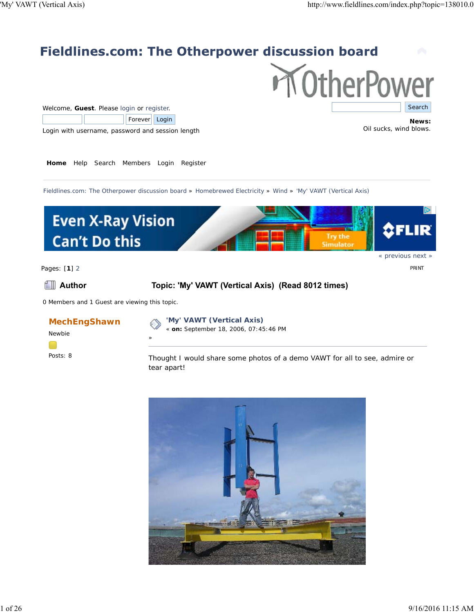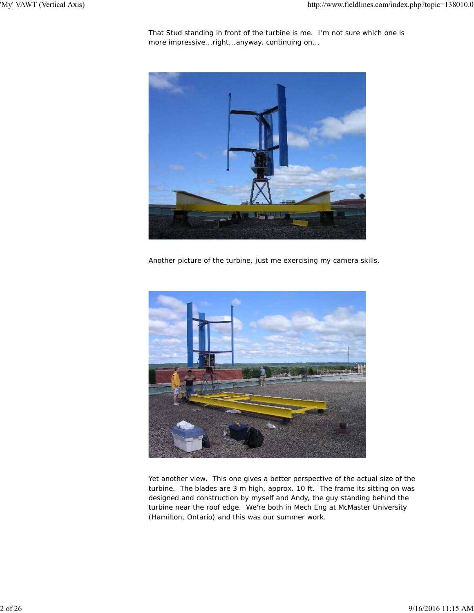That Stud standing in front of the turbine is me. I'm not sure which one is more impressive...right...anyway, continuing on...



Another picture of the turbine, just me exercising my camera skills.



Yet another view. This one gives a better perspective of the actual size of the turbine. The blades are 3 m high, approx. 10 ft. The frame its sitting on was designed and construction by myself and Andy, the guy standing behind the turbine near the roof edge. We're both in Mech Eng at McMaster University (Hamilton, Ontario) and this was our summer work.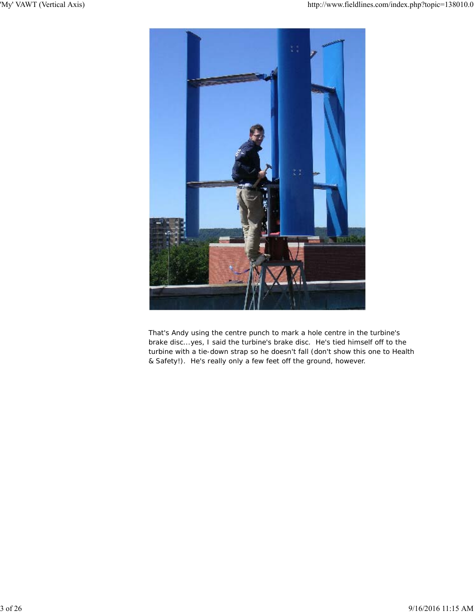

That's Andy using the centre punch to mark a hole centre in the turbine's brake disc...yes, I said the turbine's brake disc. He's tied himself off to the turbine with a tie-down strap so he doesn't fall (don't show this one to Health & Safety!). He's really only a few feet off the ground, however.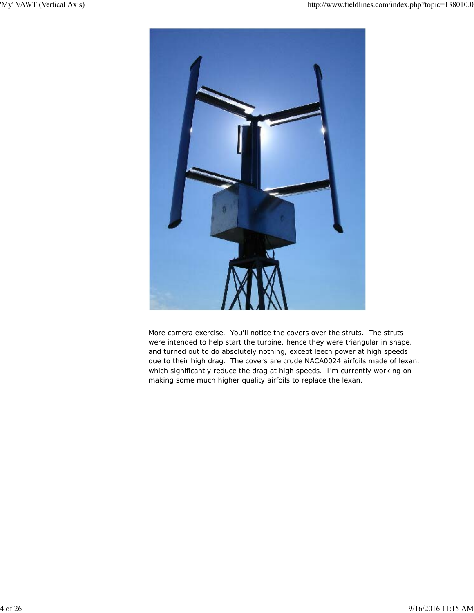

More camera exercise. You'll notice the covers over the struts. The struts were intended to help start the turbine, hence they were triangular in shape, and turned out to do absolutely nothing, except leech power at high speeds due to their high drag. The covers are crude NACA0024 airfoils made of lexan, which significantly reduce the drag at high speeds. I'm currently working on making some much higher quality airfoils to replace the lexan.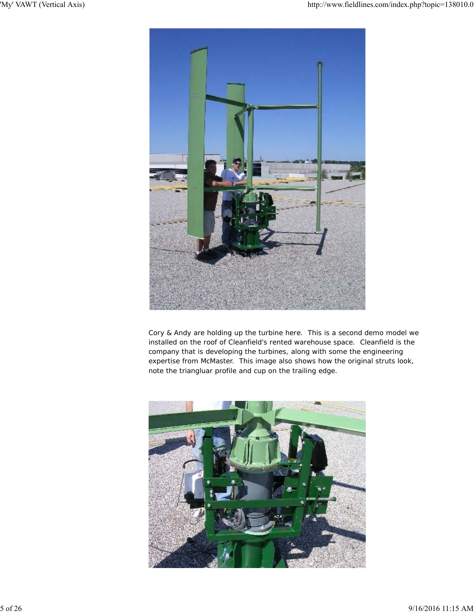

Cory & Andy are holding up the turbine here. This is a second demo model we installed on the roof of Cleanfield's rented warehouse space. Cleanfield is the company that is developing the turbines, along with some the engineering expertise from McMaster. This image also shows how the original struts look, note the triangluar profile and cup on the trailing edge.

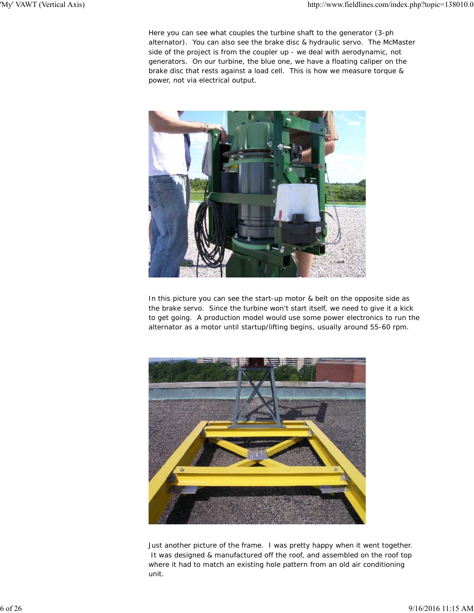Here you can see what couples the turbine shaft to the generator (3-ph alternator). You can also see the brake disc & hydraulic servo. The McMaster side of the project is from the coupler up - we deal with aerodynamic, not generators. On our turbine, the blue one, we have a floating caliper on the brake disc that rests against a load cell. This is how we measure torque & power, not via electrical output.



In this picture you can see the start-up motor & belt on the opposite side as the brake servo. Since the turbine won't start itself, we need to give it a kick to get going. A production model would use some power electronics to run the alternator as a motor until startup/lifting begins, usually around 55-60 rpm.



Just another picture of the frame. I was pretty happy when it went together. It was designed & manufactured off the roof, and assembled on the roof top where it had to match an existing hole pattern from an old air conditioning unit.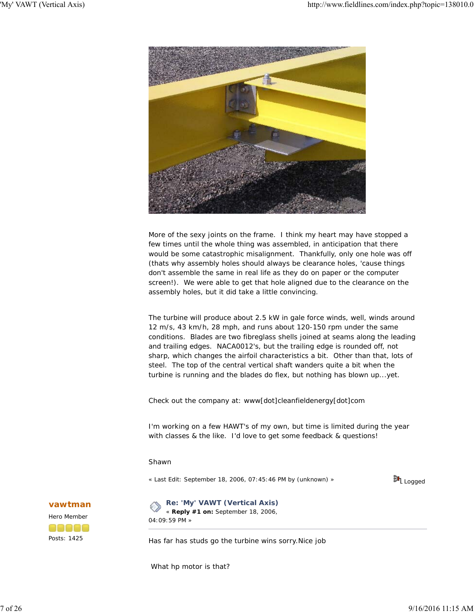

More of the sexy joints on the frame. I think my heart may have stopped a few times until the whole thing was assembled, in anticipation that there would be some catastrophic misalignment. Thankfully, only one hole was off (thats why assembly holes should always be clearance holes, 'cause things don't assemble the same in real life as they do on paper or the computer screen!). We were able to get that hole aligned due to the clearance on the assembly holes, but it did take a little convincing.

The turbine will produce about 2.5 kW in gale force winds, well, winds around 12 m/s, 43 km/h, 28 mph, and runs about 120-150 rpm under the same conditions. Blades are two fibreglass shells joined at seams along the leading and trailing edges. NACA0012's, but the trailing edge is rounded off, not sharp, which changes the airfoil characteristics a bit. Other than that, lots of steel. The top of the central vertical shaft wanders quite a bit when the turbine is running and the blades do flex, but nothing has blown up...yet.

Check out the company at: www[dot]cleanfieldenergy[dot]com

I'm working on a few HAWT's of my own, but time is limited during the year with classes & the like. I'd love to get some feedback & questions!

#### Shawn

« *Last Edit: September 18, 2006, 07:45:46 PM by (unknown)* »



**vawtman**



**Re: 'My' VAWT (Vertical Axis)** « **Reply #1 on:** September 18, 2006, 04:09:59 PM »

Has far has studs go the turbine wins sorry.Nice job

What hp motor is that?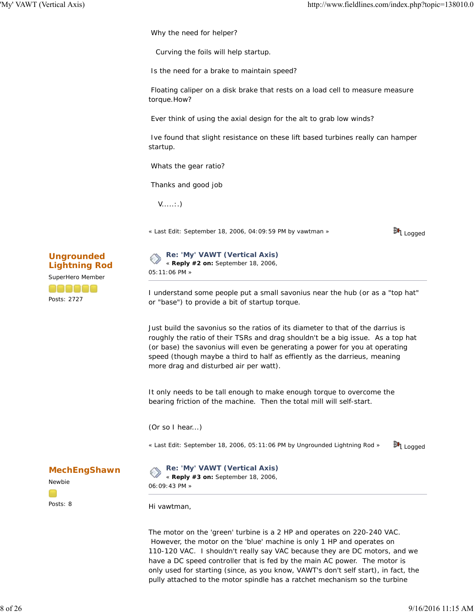Why the need for helper?

Curving the foils will help startup.

Is the need for a brake to maintain speed?

 Floating caliper on a disk brake that rests on a load cell to measure measure torque.How?

Ever think of using the axial design for the alt to grab low winds?

 Ive found that slight resistance on these lift based turbines really can hamper startup.

Whats the gear ratio?

Thanks and good job

V.....:.)

« *Last Edit: September 18, 2006, 04:09:59 PM by vawtman* »





I understand some people put a small savonius near the hub (or as a "top hat" or "base") to provide a bit of startup torque.

Just build the savonius so the ratios of its diameter to that of the darrius is roughly the ratio of their TSRs and drag shouldn't be a big issue. As a top hat (or base) the savonius will even be generating a power for you at operating speed (though maybe a third to half as effiently as the darrieus, meaning more drag and disturbed air per watt).

It only needs to be tall enough to make enough torque to overcome the bearing friction of the machine. Then the total mill will self-start.

(Or so I hear...)

« *Last Edit: September 18, 2006, 05:11:06 PM by Ungrounded Lightning Rod* »



**MechEngShawn**

Newbie Posts: 8 **Re: 'My' VAWT (Vertical Axis)** « **Reply #3 on:** September 18, 2006,

06:09:43 PM »

Hi vawtman,

The motor on the 'green' turbine is a 2 HP and operates on 220-240 VAC. However, the motor on the 'blue' machine is only 1 HP and operates on 110-120 VAC. I shouldn't really say VAC because they are DC motors, and we have a DC speed controller that is fed by the main AC power. The motor is only used for starting (since, as you know, VAWT's don't self start), in fact, the pully attached to the motor spindle has a ratchet mechanism so the turbine

# **Ungrounded Lightning Rod**

SuperHero Member

enece Posts: 2727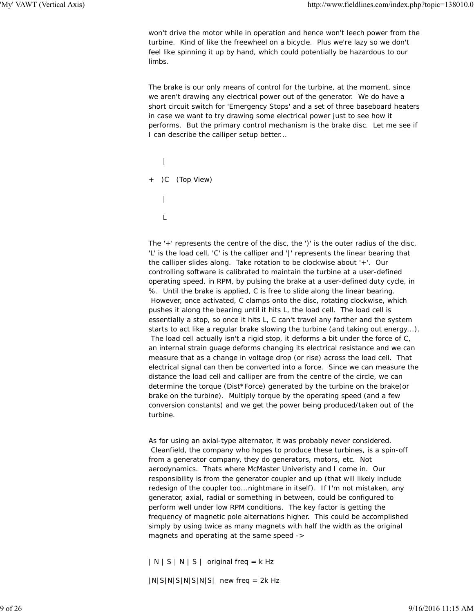won't drive the motor while in operation and hence won't leech power from the turbine. Kind of like the freewheel on a bicycle. Plus we're lazy so we don't feel like spinning it up by hand, which could potentially be hazardous to our limbs.

The brake is our only means of control for the turbine, at the moment, since we aren't drawing any electrical power out of the generator. We do have a short circuit switch for 'Emergency Stops' and a set of three baseboard heaters in case we want to try drawing some electrical power just to see how it performs. But the primary control mechanism is the brake disc. Let me see if I can describe the calliper setup better...

|  | + )C (Top View) |
|--|-----------------|
|  |                 |
|  |                 |

The '+' represents the centre of the disc, the ')' is the outer radius of the disc, 'L' is the load cell, 'C' is the calliper and '|' represents the linear bearing that the calliper slides along. Take rotation to be clockwise about '+'. Our controlling software is calibrated to maintain the turbine at a user-defined operating speed, in RPM, by pulsing the brake at a user-defined duty cycle, in %. Until the brake is applied, C is free to slide along the linear bearing. However, once activated, C clamps onto the disc, rotating clockwise, which pushes it along the bearing until it hits L, the load cell. The load cell is essentially a stop, so once it hits L, C can't travel any farther and the system starts to act like a regular brake slowing the turbine (and taking out energy...). The load cell actually isn't a rigid stop, it deforms a bit under the force of C, an internal strain guage deforms changing its electrical resistance and we can measure that as a change in voltage drop (or rise) across the load cell. That electrical signal can then be converted into a force. Since we can measure the distance the load cell and calliper are from the centre of the circle, we can determine the torque (Dist\*Force) generated by the turbine on the brake(or brake on the turbine). Multiply torque by the operating speed (and a few conversion constants) and we get the power being produced/taken out of the turbine.

As for using an axial-type alternator, it was probably never considered. Cleanfield, the company who hopes to produce these turbines, is a spin-off from a generator company, they do generators, motors, etc. Not aerodynamics. Thats where McMaster Univeristy and I come in. Our responsibility is from the generator coupler and up (that will likely include redesign of the coupler too...nightmare in itself). If I'm not mistaken, any generator, axial, radial or something in between, could be configured to perform well under low RPM conditions. The key factor is getting the frequency of magnetic pole alternations higher. This could be accomplished simply by using twice as many magnets with half the width as the original magnets and operating at the same speed ->

 $|N | S | N | S |$  original freq = k Hz

 $|N|S|N|S|N|S|$  new freq = 2k Hz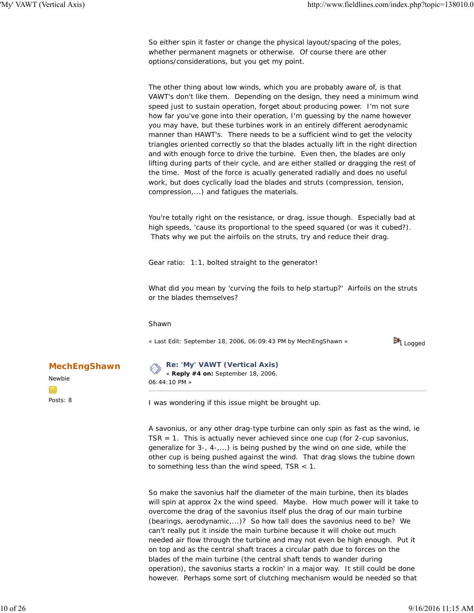So either spin it faster or change the physical layout/spacing of the poles, whether permanent magnets or otherwise. Of course there are other options/considerations, but you get my point.

The other thing about low winds, which you are probably aware of, is that VAWT's don't like them. Depending on the design, they need a minimum wind speed just to sustain operation, forget about producing power. I'm not sure how far you've gone into their operation, I'm guessing by the name however you may have, but these turbines work in an entirely different aerodynamic manner than HAWT's. There needs to be a sufficient wind to get the velocity triangles oriented correctly so that the blades actually lift in the right direction and with enough force to drive the turbine. Even then, the blades are only lifting during parts of their cycle, and are either stalled or dragging the rest of the time. Most of the force is acually generated radially and does no useful work, but does cyclically load the blades and struts (compression, tension, compression,...) and fatigues the materials.

You're totally right on the resistance, or drag, issue though. Especially bad at high speeds, 'cause its proportional to the speed squared (or was it cubed?). Thats why we put the airfoils on the struts, try and reduce their drag.

Gear ratio: 1:1, bolted straight to the generator!

What did you mean by 'curving the foils to help startup?' Airfoils on the struts or the blades themselves?

Shawn

« *Last Edit: September 18, 2006, 06:09:43 PM by MechEngShawn* »



**MechEngShawn**

Newbie Posts: 8

**Re: 'My' VAWT (Vertical Axis)** « **Reply #4 on:** September 18, 2006, 06:44:10 PM »

I was wondering if this issue might be brought up.

A savonius, or any other drag-type turbine can only spin as fast as the wind, ie TSR = 1. This is actually never achieved since one cup (for 2-cup savonius, generalize for  $3-$ ,  $4-$ ,...) is being pushed by the wind on one side, while the other cup is being pushed against the wind. That drag slows the tubine down to something less than the wind speed, TSR < 1.

So make the savonius half the diameter of the main turbine, then its blades will spin at approx 2x the wind speed. Maybe. How much power will it take to overcome the drag of the savonius itself plus the drag of our main turbine (bearings, aerodynamic,...)? So how tall does the savonius need to be? We can't really put it inside the main turbine because it will choke out much needed air flow through the turbine and may not even be high enough. Put it on top and as the central shaft traces a circular path due to forces on the blades of the main turbine (the central shaft tends to wander during operation), the savonius starts a rockin' in a major way. It still could be done however. Perhaps some sort of clutching mechanism would be needed so that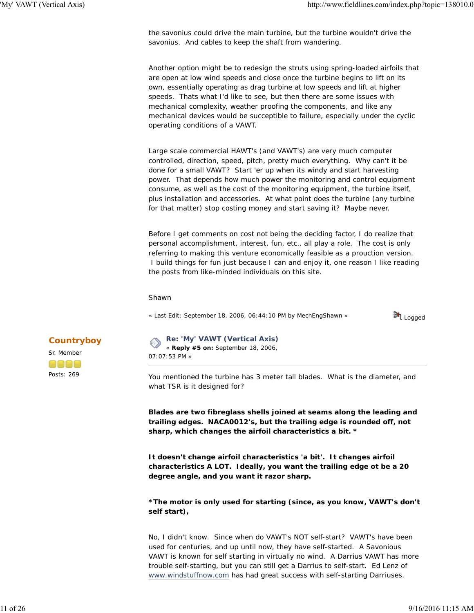the savonius could drive the main turbine, but the turbine wouldn't drive the savonius. And cables to keep the shaft from wandering.

Another option might be to redesign the struts using spring-loaded airfoils that are open at low wind speeds and close once the turbine begins to lift on its own, essentially operating as drag turbine at low speeds and lift at higher speeds. Thats what I'd like to see, but then there are some issues with mechanical complexity, weather proofing the components, and like any mechanical devices would be succeptible to failure, especially under the cyclic operating conditions of a VAWT.

Large scale commercial HAWT's (and VAWT's) are very much computer controlled, direction, speed, pitch, pretty much everything. Why can't it be done for a small VAWT? Start 'er up when its windy and start harvesting power. That depends how much power the monitoring and control equipment consume, as well as the cost of the monitoring equipment, the turbine itself, plus installation and accessories. At what point does the turbine (any turbine for that matter) stop costing money and start saving it? Maybe never.

Before I get comments on cost not being the deciding factor, I do realize that personal accomplishment, interest, fun, etc., all play a role. The cost is only referring to making this venture economically feasible as a prouction version. I build things for fun just because I can and enjoy it, one reason I like reading the posts from like-minded individuals on this site.

#### Shawn

« *Last Edit: September 18, 2006, 06:44:10 PM by MechEngShawn* »



### **Re: 'My' VAWT (Vertical Axis)** « **Reply #5 on:** September 18, 2006, 07:07:53 PM »

You mentioned the turbine has 3 meter tall blades. What is the diameter, and what TSR is it designed for?

**Blades are two fibreglass shells joined at seams along the leading and trailing edges. NACA0012's, but the trailing edge is rounded off, not sharp, which changes the airfoil characteristics a bit. \***

**It doesn't change airfoil characteristics 'a bit'. It changes airfoil characteristics A LOT. Ideally, you want the trailing edge ot be a 20 degree angle, and you want it razor sharp.**

**\*The motor is only used for starting (since, as you know, VAWT's don't self start),**

No, I didn't know. Since when do VAWT's NOT self-start? VAWT's have been used for centuries, and up until now, they have self-started. A Savonious VAWT is known for self starting in virtually no wind. A Darrius VAWT has more trouble self-starting, but you can still get a Darrius to self-start. Ed Lenz of www.windstuffnow.com has had great success with self-starting Darriuses.

## **Countryboy**

Sr. Member Posts: 269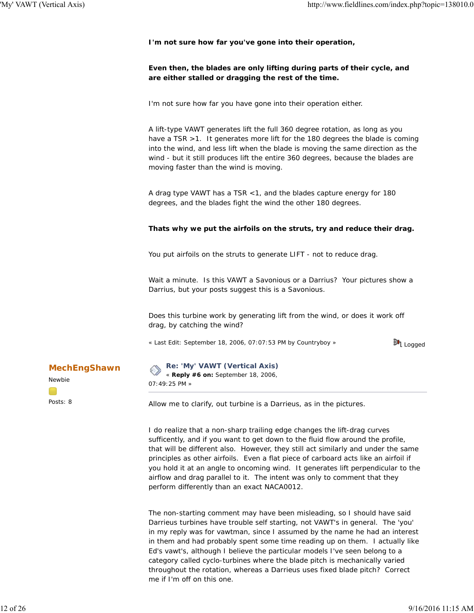**I'm not sure how far you've gone into their operation,**

### **Even then, the blades are only lifting during parts of their cycle, and are either stalled or dragging the rest of the time.**

I'm not sure how far you have gone into their operation either.

A lift-type VAWT generates lift the full 360 degree rotation, as long as you have a TSR > 1. It generates more lift for the 180 degrees the blade is coming into the wind, and less lift when the blade is moving the same direction as the wind - but it still produces lift the entire 360 degrees, because the blades are moving faster than the wind is moving.

A drag type VAWT has a TSR <1, and the blades capture energy for 180 degrees, and the blades fight the wind the other 180 degrees.

### **Thats why we put the airfoils on the struts, try and reduce their drag.**

You put airfoils on the struts to generate LIFT - not to reduce drag.

Wait a minute. Is this VAWT a Savonious or a Darrius? Your pictures show a Darrius, but your posts suggest this is a Savonious.

Does this turbine work by generating lift from the wind, or does it work off drag, by catching the wind?

« *Last Edit: September 18, 2006, 07:07:53 PM by Countryboy* »



**Re: 'My' VAWT (Vertical Axis)** « **Reply #6 on:** September 18, 2006,

07:49:25 PM »

Allow me to clarify, out turbine is a Darrieus, as in the pictures.

I do realize that a non-sharp trailing edge changes the lift-drag curves sufficently, and if you want to get down to the fluid flow around the profile, that will be different also. However, they still act similarly and under the same principles as other airfoils. Even a flat piece of carboard acts like an airfoil if you hold it at an angle to oncoming wind. It generates lift perpendicular to the airflow and drag parallel to it. The intent was only to comment that they perform differently than an exact NACA0012.

The non-starting comment may have been misleading, so I should have said Darrieus turbines have trouble self starting, not VAWT's in general. The 'you' in my reply was for vawtman, since I assumed by the name he had an interest in them and had probably spent some time reading up on them. I actually like Ed's vawt's, although I believe the particular models I've seen belong to a category called cyclo-turbines where the blade pitch is mechanically varied throughout the rotation, whereas a Darrieus uses fixed blade pitch? Correct me if I'm off on this one.

### **MechEngShawn**

Newbie Posts: 8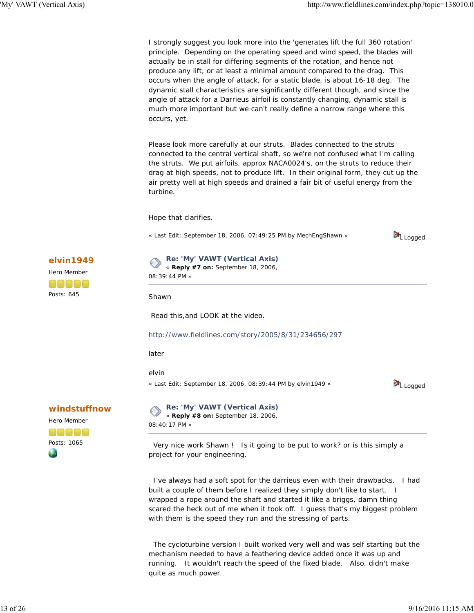I strongly suggest you look more into the 'generates lift the full 360 rotation' principle. Depending on the operating speed and wind speed, the blades will actually be in stall for differing segments of the rotation, and hence not produce any lift, or at least a minimal amount compared to the drag. This occurs when the angle of attack, for a static blade, is about 16-18 deg. The dynamic stall characteristics are significantly different though, and since the angle of attack for a Darrieus airfoil is constantly changing, dynamic stall is much more important but we can't really define a narrow range where this occurs, yet.

Please look more carefully at our struts. Blades connected to the struts connected to the central vertical shaft, so we're not confused what I'm calling the struts. We put airfoils, approx NACA0024's, on the struts to reduce their drag at high speeds, not to produce lift. In their original form, they cut up the air pretty well at high speeds and drained a fair bit of useful energy from the turbine.

Hope that clarifies.

« *Last Edit: September 18, 2006, 07:49:25 PM by MechEngShawn* »



# **elvin1949**

Hero Member anaaa Posts: 645

**Re: 'My' VAWT (Vertical Axis)** « **Reply #7 on:** September 18, 2006, 08:39:44 PM »

**Shawn** 

Read this,and LOOK at the video.

#### http://www.fieldlines.com/story/2005/8/31/234656/297

later

elvin

« *Last Edit: September 18, 2006, 08:39:44 PM by elvin1949* »



# **windstuffnow**



**Re: 'My' VAWT (Vertical Axis)** « **Reply #8 on:** September 18, 2006,

08:40:17 PM »

 Very nice work Shawn ! Is it going to be put to work? or is this simply a project for your engineering.

 I've always had a soft spot for the darrieus even with their drawbacks. I had built a couple of them before I realized they simply don't like to start. I wrapped a rope around the shaft and started it like a briggs, damn thing scared the heck out of me when it took off. I guess that's my biggest problem with them is the speed they run and the stressing of parts.

 The cycloturbine version I built worked very well and was self starting but the mechanism needed to have a feathering device added once it was up and running. It wouldn't reach the speed of the fixed blade. Also, didn't make quite as much power.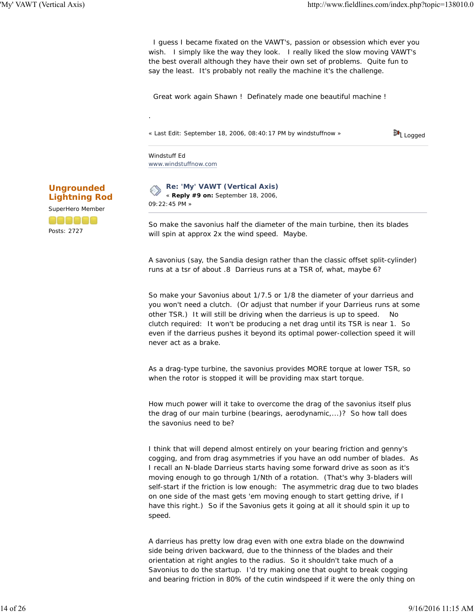I guess I became fixated on the VAWT's, passion or obsession which ever you wish. I simply like the way they look. I really liked the slow moving VAWT's the best overall although they have their own set of problems. Quite fun to say the least. It's probably not really the machine it's the challenge.

Great work again Shawn ! Definately made one beautiful machine !

« *Last Edit: September 18, 2006, 08:40:17 PM by windstuffnow* »

料 Logged

Windstuff Ed www.windstuffnow.com

.

**Re: 'My' VAWT (Vertical Axis)** « **Reply #9 on:** September 18, 2006, 09:22:45 PM »

*So make the savonius half the diameter of the main turbine, then its blades will spin at approx 2x the wind speed. Maybe.*

A savonius (say, the Sandia design rather than the classic offset split-cylinder) runs at a tsr of about .8 Darrieus runs at a TSR of, what, maybe 6?

So make your Savonius about 1/7.5 or 1/8 the diameter of your darrieus and you won't need a clutch. (Or adjust that number if your Darrieus runs at some other TSR.) It will still be driving when the darrieus is up to speed. No clutch required: It won't be producing a net drag until its TSR is near 1. So even if the darrieus pushes it beyond its optimal power-collection speed it will never act as a brake.

As a drag-type turbine, the savonius provides MORE torque at lower TSR, so when the rotor is stopped it will be providing max start torque.

*How much power will it take to overcome the drag of the savonius itself plus the drag of our main turbine (bearings, aerodynamic,...)? So how tall does the savonius need to be?*

I think that will depend almost entirely on your bearing friction and genny's cogging, and from drag asymmetries if you have an odd number of blades. As I recall an N-blade Darrieus starts having some forward drive as soon as it's moving enough to go through 1/Nth of a rotation. (That's why 3-bladers will self-start if the friction is low enough: The asymmetric drag due to two blades on one side of the mast gets 'em moving enough to start getting drive, if I have this right.) So if the Savonius gets it going at all it should spin it up to speed.

A darrieus has pretty low drag even with one extra blade on the downwind side being driven backward, due to the thinness of the blades and their orientation at right angles to the radius. So it shouldn't take much of a Savonius to do the startup. I'd try making one that ought to break cogging and bearing friction in 80% of the cutin windspeed if it were the only thing on

**Ungrounded Lightning Rod** SuperHero Member Posts: 2727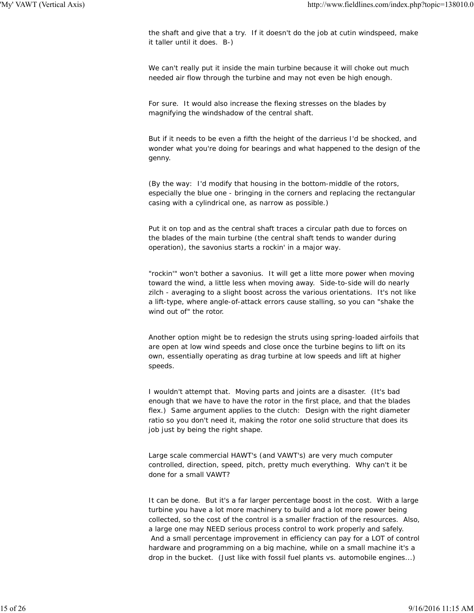the shaft and give that a try. If it doesn't do the job at cutin windspeed, make it taller until it does. B-)

*We can't really put it inside the main turbine because it will choke out much needed air flow through the turbine and may not even be high enough.*

For sure. It would also increase the flexing stresses on the blades by magnifying the windshadow of the central shaft.

But if it needs to be even a fifth the height of the darrieus I'd be shocked, and wonder what you're doing for bearings and what happened to the design of the genny.

(By the way: I'd modify that housing in the bottom-middle of the rotors, especially the blue one - bringing in the corners and replacing the rectangular casing with a cylindrical one, as narrow as possible.)

*Put it on top and as the central shaft traces a circular path due to forces on the blades of the main turbine (the central shaft tends to wander during operation), the savonius starts a rockin' in a major way.*

"rockin'" won't bother a savonius. It will get a litte more power when moving toward the wind, a little less when moving away. Side-to-side will do nearly zilch - averaging to a slight boost across the various orientations. It's not like a lift-type, where angle-of-attack errors cause stalling, so you can "shake the wind out of" the rotor.

*Another option might be to redesign the struts using spring-loaded airfoils that are open at low wind speeds and close once the turbine begins to lift on its own, essentially operating as drag turbine at low speeds and lift at higher speeds.*

I wouldn't attempt that. Moving parts and joints are a disaster. (It's bad enough that we have to have the rotor in the first place, and that the blades flex.) Same argument applies to the clutch: Design with the right diameter ratio so you don't need it, making the rotor one solid structure that does its job just by being the right shape.

*Large scale commercial HAWT's (and VAWT's) are very much computer controlled, direction, speed, pitch, pretty much everything. Why can't it be done for a small VAWT?*

It can be done. But it's a far larger percentage boost in the cost. With a large turbine you have a lot more machinery to build and a lot more power being collected, so the cost of the control is a smaller fraction of the resources. Also, a large one may NEED serious process control to work properly and safely. And a small percentage improvement in efficiency can pay for a LOT of control hardware and programming on a big machine, while on a small machine it's a drop in the bucket. (Just like with fossil fuel plants vs. automobile engines...)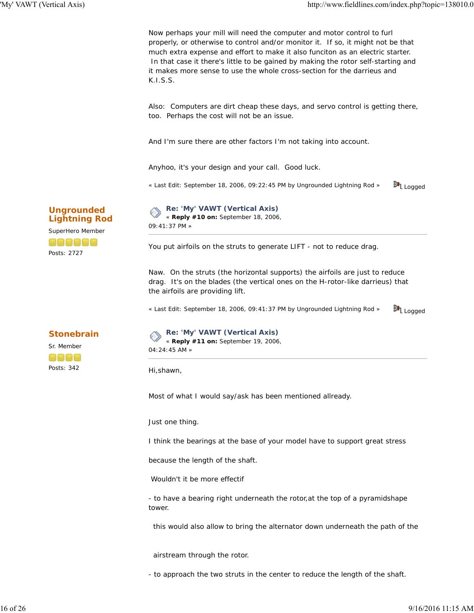Now perhaps your mill will need the computer and motor control to furl properly, or otherwise to control and/or monitor it. If so, it might not be that much extra expense and effort to make it also funciton as an electric starter. In that case it there's little to be gained by making the rotor self-starting and it makes more sense to use the whole cross-section for the darrieus and K.I.S.S.

Also: Computers are dirt cheap these days, and servo control is getting there, too. Perhaps the cost will not be an issue.

And I'm sure there are other factors I'm not taking into account.

Anyhoo, it's your design and your call. Good luck.

« *Last Edit: September 18, 2006, 09:22:45 PM by Ungrounded Lightning Rod* » 料 Logged

# **Ungrounded Lightning Rod**

SuperHero Member

Posts: 2727

# **Re: 'My' VAWT (Vertical Axis)**

« **Reply #10 on:** September 18, 2006, 09:41:37 PM »

*You put airfoils on the struts to generate LIFT - not to reduce drag.*

Naw. On the struts (the horizontal supports) the airfoils are just to reduce drag. It's on the blades (the vertical ones on the H-rotor-like darrieus) that the airfoils are providing lift.

« *Last Edit: September 18, 2006, 09:41:37 PM by Ungrounded Lightning Rod* » 料 Logged

# **Stonebrain**

Sr. Member aaaa Posts: 342

**Re: 'My' VAWT (Vertical Axis)** E « **Reply #11 on:** September 19, 2006, 04:24:45 AM »

Hi,shawn,

Most of what I would say/ask has been mentioned allready.

Just one thing.

I think the bearings at the base of your model have to support great stress

because the length of the shaft.

Wouldn't it be more effectif

- to have a bearing right underneath the rotor,at the top of a pyramidshape tower.

this would also allow to bring the alternator down underneath the path of the

airstream through the rotor.

- to approach the two struts in the center to reduce the length of the shaft.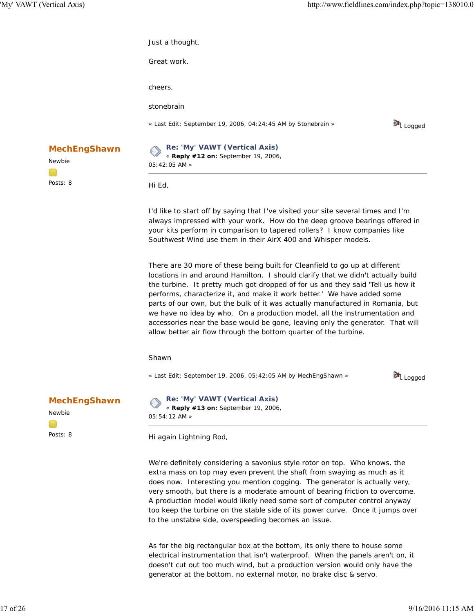|                               | Just a thought.                                                                                                                                                                                                                                                                                                                                                                                                                                                                                                                                                                                                                                     |                      |  |
|-------------------------------|-----------------------------------------------------------------------------------------------------------------------------------------------------------------------------------------------------------------------------------------------------------------------------------------------------------------------------------------------------------------------------------------------------------------------------------------------------------------------------------------------------------------------------------------------------------------------------------------------------------------------------------------------------|----------------------|--|
|                               | Great work.                                                                                                                                                                                                                                                                                                                                                                                                                                                                                                                                                                                                                                         |                      |  |
|                               | cheers,                                                                                                                                                                                                                                                                                                                                                                                                                                                                                                                                                                                                                                             |                      |  |
|                               | stonebrain                                                                                                                                                                                                                                                                                                                                                                                                                                                                                                                                                                                                                                          |                      |  |
|                               | « Last Edit: September 19, 2006, 04:24:45 AM by Stonebrain »                                                                                                                                                                                                                                                                                                                                                                                                                                                                                                                                                                                        | 异L <sub>Logged</sub> |  |
| <b>MechEngShawn</b><br>Newbie | Re: 'My' VAWT (Vertical Axis)<br>« Reply #12 on: September 19, 2006,<br>05:42:05 AM »                                                                                                                                                                                                                                                                                                                                                                                                                                                                                                                                                               |                      |  |
| Posts: 8                      | Hi Ed,                                                                                                                                                                                                                                                                                                                                                                                                                                                                                                                                                                                                                                              |                      |  |
|                               | I'd like to start off by saying that I've visited your site several times and I'm<br>always impressed with your work. How do the deep groove bearings offered in<br>your kits perform in comparison to tapered rollers? I know companies like<br>Southwest Wind use them in their AirX 400 and Whisper models.                                                                                                                                                                                                                                                                                                                                      |                      |  |
|                               | There are 30 more of these being built for Cleanfield to go up at different<br>locations in and around Hamilton. I should clarify that we didn't actually build<br>the turbine. It pretty much got dropped of for us and they said 'Tell us how it<br>performs, characterize it, and make it work better.' We have added some<br>parts of our own, but the bulk of it was actually manufactured in Romania, but<br>we have no idea by who. On a production model, all the instrumentation and<br>accessories near the base would be gone, leaving only the generator. That will<br>allow better air flow through the bottom quarter of the turbine. |                      |  |
|                               | Shawn                                                                                                                                                                                                                                                                                                                                                                                                                                                                                                                                                                                                                                               |                      |  |
|                               | « Last Edit: September 19, 2006, 05:42:05 AM by MechEngShawn »                                                                                                                                                                                                                                                                                                                                                                                                                                                                                                                                                                                      | 异L Logged            |  |
| <b>MechEngShawn</b><br>Newbie | Re: 'My' VAWT (Vertical Axis)<br>« Reply #13 on: September 19, 2006,<br>05:54:12 AM »                                                                                                                                                                                                                                                                                                                                                                                                                                                                                                                                                               |                      |  |
| Posts: 8                      | Hi again Lightning Rod,                                                                                                                                                                                                                                                                                                                                                                                                                                                                                                                                                                                                                             |                      |  |
|                               | We're definitely considering a savonius style rotor on top. Who knows, the<br>extra mass on top may even prevent the shaft from swaying as much as it<br>does now. Interesting you mention cogging. The generator is actually very,<br>very smooth, but there is a moderate amount of bearing friction to overcome.                                                                                                                                                                                                                                                                                                                                 |                      |  |

A production model would likely need some sort of computer control anyway too keep the turbine on the stable side of its power curve. Once it jumps over

As for the big rectangular box at the bottom, its only there to house some electrical instrumentation that isn't waterproof. When the panels aren't on, it doesn't cut out too much wind, but a production version would only have the

generator at the bottom, no external motor, no brake disc & servo.

to the unstable side, overspeeding becomes an issue.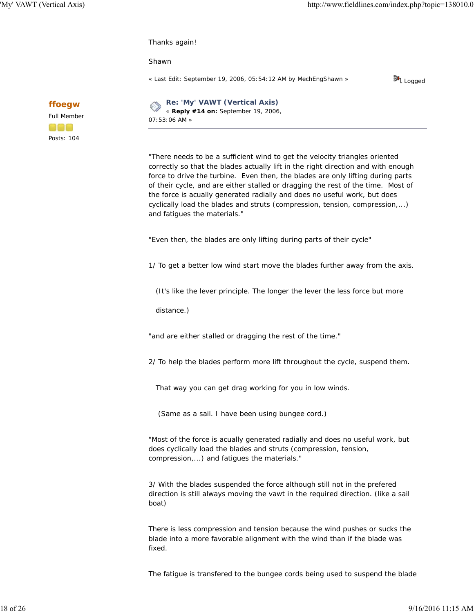Thanks again!

Shawn

« *Last Edit: September 19, 2006, 05:54:12 AM by MechEngShawn* »

料 Logged

**Re: 'My' VAWT (Vertical Axis)** ¢ « **Reply #14 on:** September 19, 2006, 07:53:06 AM »

"There needs to be a sufficient wind to get the velocity triangles oriented correctly so that the blades actually lift in the right direction and with enough force to drive the turbine. Even then, the blades are only lifting during parts of their cycle, and are either stalled or dragging the rest of the time. Most of the force is acually generated radially and does no useful work, but does cyclically load the blades and struts (compression, tension, compression,...) and fatigues the materials."

"Even then, the blades are only lifting during parts of their cycle"

1/ To get a better low wind start move the blades further away from the axis.

(It's like the lever principle. The longer the lever the less force but more

distance.)

"and are either stalled or dragging the rest of the time."

2/ To help the blades perform more lift throughout the cycle, suspend them.

That way you can get drag working for you in low winds.

(Same as a sail. I have been using bungee cord.)

"Most of the force is acually generated radially and does no useful work, but does cyclically load the blades and struts (compression, tension, compression,...) and fatigues the materials."

3/ With the blades suspended the force although still not in the prefered direction is still always moving the vawt in the required direction. (like a sail boat)

There is less compression and tension because the wind pushes or sucks the blade into a more favorable alignment with the wind than if the blade was fixed.

The fatigue is transfered to the bungee cords being used to suspend the blade

**ffoegw** Full Member 808

Posts: 104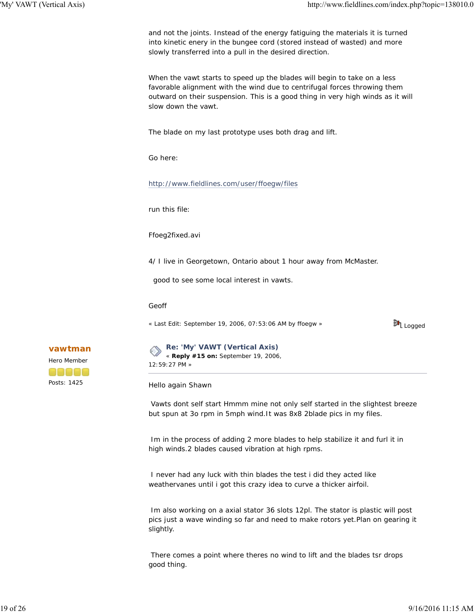and not the joints. Instead of the energy fatiguing the materials it is turned into kinetic enery in the bungee cord (stored instead of wasted) and more slowly transferred into a pull in the desired direction.

When the vawt starts to speed up the blades will begin to take on a less favorable alignment with the wind due to centrifugal forces throwing them outward on their suspension. This is a good thing in very high winds as it will slow down the vawt.

The blade on my last prototype uses both drag and lift.

Go here:

http://www.fieldlines.com/user/ffoegw/files

run this file:

Ffoeg2fixed.avi

4/ I live in Georgetown, Ontario about 1 hour away from McMaster.

good to see some local interest in vawts.

Geoff

« *Last Edit: September 19, 2006, 07:53:06 AM by ffoegw* »

<mark>料</mark> Logged

**Re: 'My' VAWT (Vertical Axis)** « **Reply #15 on:** September 19, 2006, 12:59:27 PM »

Hello again Shawn

 Vawts dont self start Hmmm mine not only self started in the slightest breeze but spun at 3o rpm in 5mph wind.It was 8x8 2blade pics in my files.

 Im in the process of adding 2 more blades to help stabilize it and furl it in high winds.2 blades caused vibration at high rpms.

 I never had any luck with thin blades the test i did they acted like weathervanes until i got this crazy idea to curve a thicker airfoil.

 Im also working on a axial stator 36 slots 12pl. The stator is plastic will post pics just a wave winding so far and need to make rotors yet.Plan on gearing it slightly.

 There comes a point where theres no wind to lift and the blades tsr drops good thing.

**vawtman** Hero Member aaaaa Posts: 1425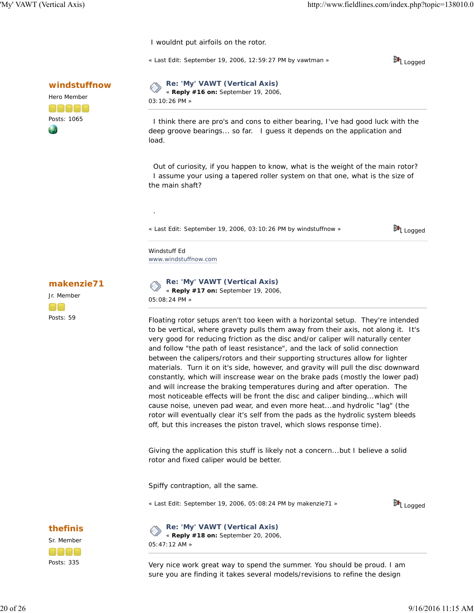I wouldnt put airfoils on the rotor.

« *Last Edit: September 19, 2006, 12:59:27 PM by vawtman* »



**windstuffnow**



**Re: 'My' VAWT (Vertical Axis)** « **Reply #16 on:** September 19, 2006, 03:10:26 PM »

 I think there are pro's and cons to either bearing, I've had good luck with the deep groove bearings... so far. I guess it depends on the application and load.

 Out of curiosity, if you happen to know, what is the weight of the main rotor? I assume your using a tapered roller system on that one, what is the size of the main shaft?

« *Last Edit: September 19, 2006, 03:10:26 PM by windstuffnow* »

脚 Logged

Windstuff Ed www.windstuffnow.com

.

**makenzie71**

Jr. Member OO Posts: 59

**thefinis** Sr. Member

Posts: 335

anaa

**Re: 'My' VAWT (Vertical Axis)** ◇ « **Reply #17 on:** September 19, 2006, 05:08:24 PM »

Floating rotor setups aren't too keen with a horizontal setup. They're intended to be vertical, where gravety pulls them away from their axis, not along it. It's very good for reducing friction as the disc and/or caliper will naturally center and follow "the path of least resistance", and the lack of solid connection between the calipers/rotors and their supporting structures allow for lighter materials. Turn it on it's side, however, and gravity will pull the disc downward constantly, which will inscrease wear on the brake pads (mostly the lower pad) and will increase the braking temperatures during and after operation. The most noticeable effects will be front the disc and caliper binding...which will cause noise, uneven pad wear, and even more heat...and hydrolic "lag" (the rotor will eventually clear it's self from the pads as the hydrolic system bleeds off, but this increases the piston travel, which slows response time).

Giving the application this stuff is likely not a concern...but I believe a solid rotor and fixed caliper would be better.

Spiffy contraption, all the same.

« *Last Edit: September 19, 2006, 05:08:24 PM by makenzie71* »



**Re: 'My' VAWT (Vertical Axis)** ◇ « **Reply #18 on:** September 20, 2006, 05:47:12 AM »

Very nice work great way to spend the summer. You should be proud. I am sure you are finding it takes several models/revisions to refine the design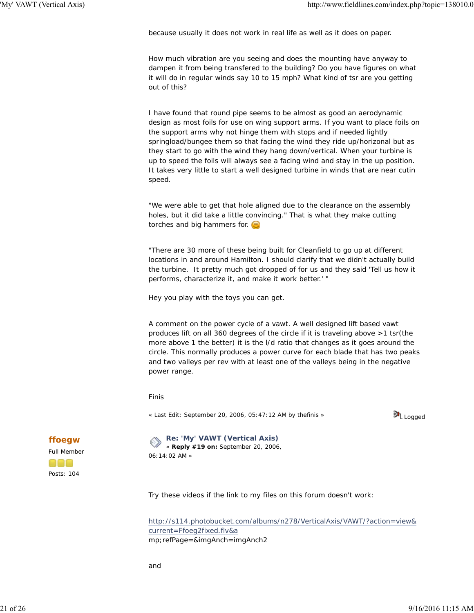because usually it does not work in real life as well as it does on paper.

How much vibration are you seeing and does the mounting have anyway to dampen it from being transfered to the building? Do you have figures on what it will do in regular winds say 10 to 15 mph? What kind of tsr are you getting out of this?

I have found that round pipe seems to be almost as good an aerodynamic design as most foils for use on wing support arms. If you want to place foils on the support arms why not hinge them with stops and if needed lightly springload/bungee them so that facing the wind they ride up/horizonal but as they start to go with the wind they hang down/vertical. When your turbine is up to speed the foils will always see a facing wind and stay in the up position. It takes very little to start a well designed turbine in winds that are near cutin speed.

"We were able to get that hole aligned due to the clearance on the assembly holes, but it did take a little convincing." That is what they make cutting torches and big hammers for.

"There are 30 more of these being built for Cleanfield to go up at different locations in and around Hamilton. I should clarify that we didn't actually build the turbine. It pretty much got dropped of for us and they said 'Tell us how it performs, characterize it, and make it work better.' "

Hey you play with the toys you can get.

A comment on the power cycle of a vawt. A well designed lift based vawt produces lift on all 360 degrees of the circle if it is traveling above >1 tsr(the more above 1 the better) it is the l/d ratio that changes as it goes around the circle. This normally produces a power curve for each blade that has two peaks and two valleys per rev with at least one of the valleys being in the negative power range.

Finis

« *Last Edit: September 20, 2006, 05:47:12 AM by thefinis* »



### **Re: 'My' VAWT (Vertical Axis)**

« **Reply #19 on:** September 20, 2006, 06:14:02 AM »

Try these videos if the link to my files on this forum doesn't work:

http://s114.photobucket.com/albums/n278/VerticalAxis/VAWT/?action=view& current=Ffoeg2fixed.flv&a mp;refPage=&imgAnch=imgAnch2

and

**ffoegw** Full Member

Posts: 104

000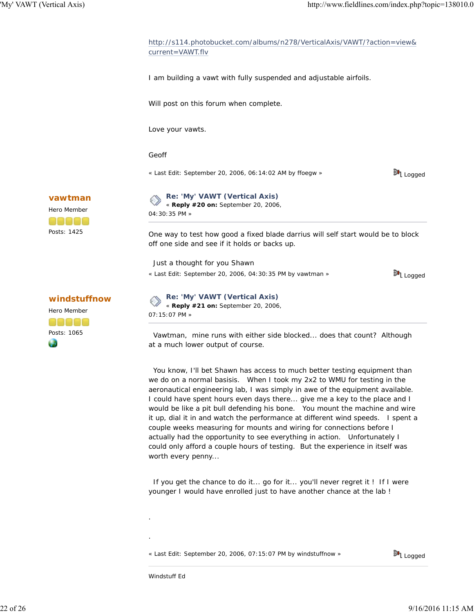62



 Vawtman, mine runs with either side blocked... does that count? Although at a much lower output of course.

You know, I'll bet Shawn has access to much better testing equipment than we do on a normal basisis. When I took my 2x2 to WMU for testing in the aeronautical engineering lab, I was simply in awe of the equipment available. I could have spent hours even days there... give me a key to the place and I would be like a pit bull defending his bone. You mount the machine and wire it up, dial it in and watch the performance at different wind speeds. I spent a couple weeks measuring for mounts and wiring for connections before I actually had the opportunity to see everything in action. Unfortunately I could only afford a couple hours of testing. But the experience in itself was worth every penny...

 If you get the chance to do it... go for it... you'll never regret it ! If I were younger I would have enrolled just to have another chance at the lab !

« *Last Edit: September 20, 2006, 07:15:07 PM by windstuffnow* »



Windstuff Ed

.

.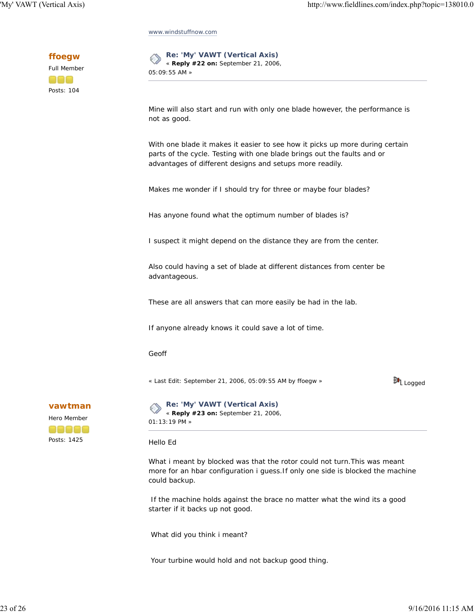www.windstuffnow.com

**ffoegw**



**Re: 'My' VAWT (Vertical Axis)** « **Reply #22 on:** September 21, 2006, 05:09:55 AM »

Mine will also start and run with only one blade however, the performance is not as good.

With one blade it makes it easier to see how it picks up more during certain parts of the cycle. Testing with one blade brings out the faults and or advantages of different designs and setups more readily.

Makes me wonder if I should try for three or maybe four blades?

Has anyone found what the optimum number of blades is?

I suspect it might depend on the distance they are from the center.

Also could having a set of blade at different distances from center be advantageous.

These are all answers that can more easily be had in the lab.

If anyone already knows it could save a lot of time.

Geoff

« *Last Edit: September 21, 2006, 05:09:55 AM by ffoegw* »

料<br>【Logged

**vawtman**



**Re: 'My' VAWT (Vertical Axis)** E « **Reply #23 on:** September 21, 2006, 01:13:19 PM »

Hello Ed

What i meant by blocked was that the rotor could not turn.This was meant more for an hbar configuration i guess.If only one side is blocked the machine could backup.

 If the machine holds against the brace no matter what the wind its a good starter if it backs up not good.

What did you think i meant?

Your turbine would hold and not backup good thing.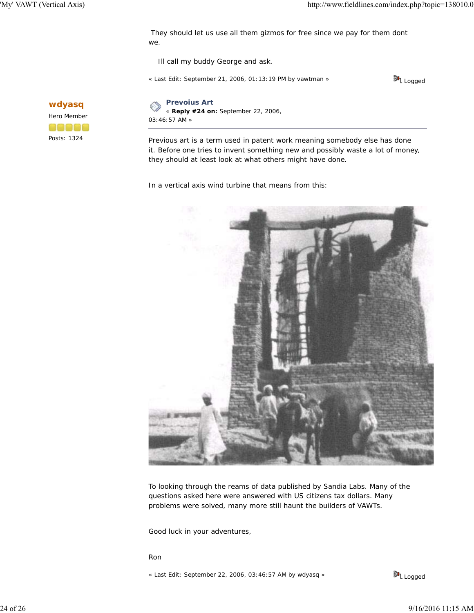They should let us use all them gizmos for free since we pay for them dont we.

Ill call my buddy George and ask.

« *Last Edit: September 21, 2006, 01:13:19 PM by vawtman* »



**wdyasq** Hero Member 00000 Posts: 1324

**Prevoius Art** « **Reply #24 on:** September 22, 2006,

03:46:57 AM »

Previous art is a term used in patent work meaning somebody else has done it. Before one tries to invent something new and possibly waste a lot of money, they should at least look at what others might have done.

In a vertical axis wind turbine that means from this:



To looking through the reams of data published by Sandia Labs. Many of the questions asked here were answered with US citizens tax dollars. Many problems were solved, many more still haunt the builders of VAWTs.

Good luck in your adventures,

Ron

« *Last Edit: September 22, 2006, 03:46:57 AM by wdyasq* »

料 Logged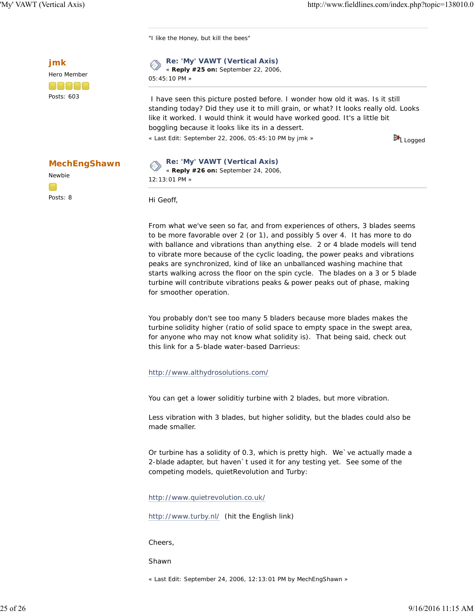"I like the Honey, but kill the bees"



**MechEngShawn**

Newbie

Posts: 8

**Re: 'My' VAWT (Vertical Axis)** « **Reply #25 on:** September 22, 2006, 05:45:10 PM »

 I have seen this picture posted before. I wonder how old it was. Is it still standing today? Did they use it to mill grain, or what? It looks really old. Looks like it worked. I would think it would have worked good. It's a little bit boggling because it looks like its in a dessert.

« *Last Edit: September 22, 2006, 05:45:10 PM by jmk* »

料 Logged

# **Re: 'My' VAWT (Vertical Axis)**

« **Reply #26 on:** September 24, 2006, 12:13:01 PM »

Hi Geoff,

From what we've seen so far, and from experiences of others, 3 blades seems to be more favorable over 2 (or 1), and possibly 5 over 4. It has more to do with ballance and vibrations than anything else. 2 or 4 blade models will tend to vibrate more because of the cyclic loading, the power peaks and vibrations peaks are synchronized, kind of like an unballanced washing machine that starts walking across the floor on the spin cycle. The blades on a 3 or 5 blade turbine will contribute vibrations peaks & power peaks out of phase, making for smoother operation.

You probably don't see too many 5 bladers because more blades makes the turbine solidity higher (ratio of solid space to empty space in the swept area, for anyone who may not know what solidity is). That being said, check out this link for a 5-blade water-based Darrieus:

### http://www.althydrosolutions.com/

You can get a lower soliditiy turbine with 2 blades, but more vibration.

Less vibration with 3 blades, but higher solidity, but the blades could also be made smaller.

Or turbine has a solidity of 0.3, which is pretty high. We`ve actually made a 2-blade adapter, but haven`t used it for any testing yet. See some of the competing models, quietRevolution and Turby:

http://www.quietrevolution.co.uk/

http://www.turby.nl/ (hit the English link)

Cheers,

Shawn

« *Last Edit: September 24, 2006, 12:13:01 PM by MechEngShawn* »